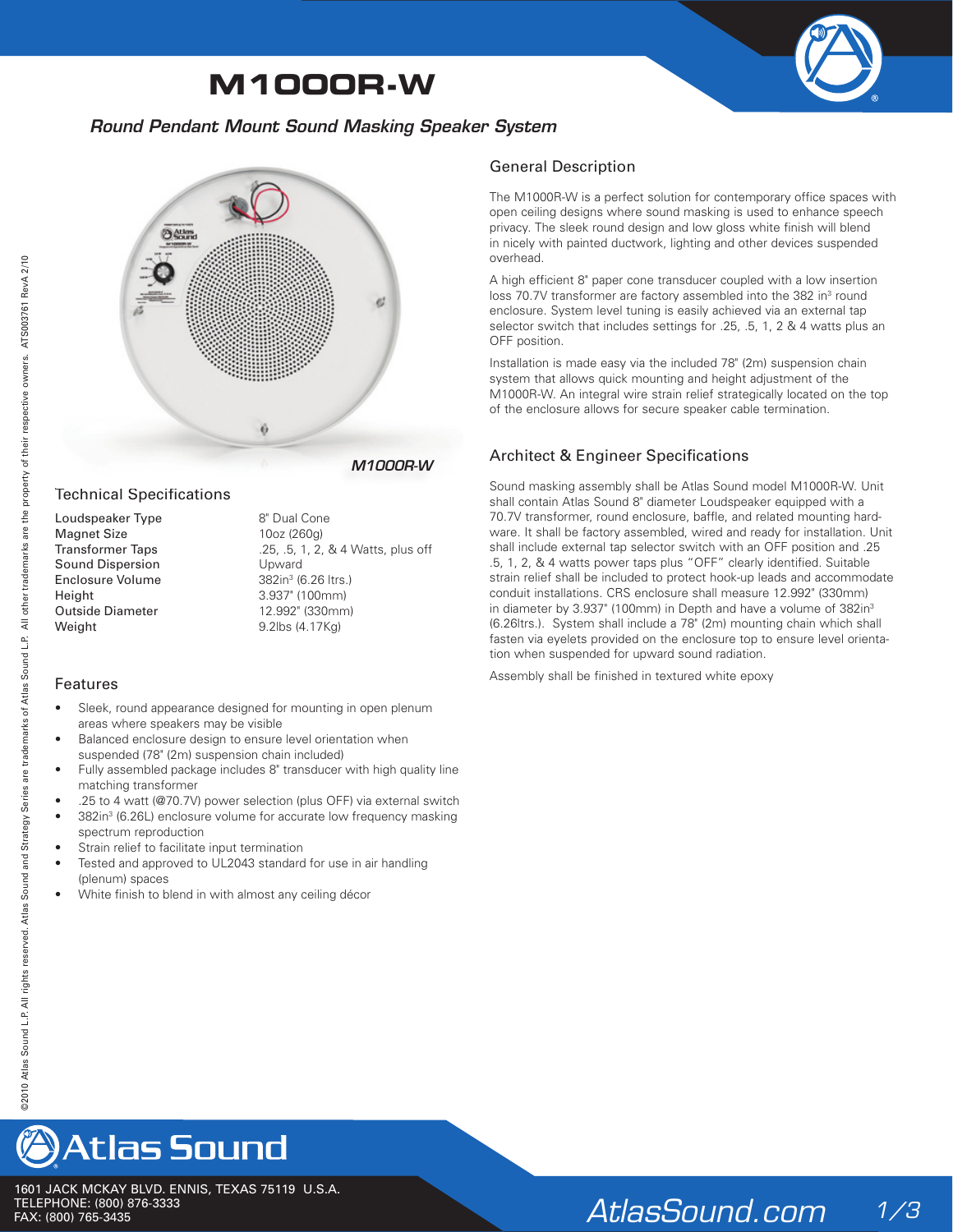# **M1000R-W**



### *Round Pendant Mount Sound Masking Speaker System*



*M1000R-W*

#### Technical Specifications

Loudspeaker Type 8" Dual Cone Magnet Size 10oz (260g) Sound Dispersion Upward Enclosure Volume Height 3.937" (100mm) Outside Diameter 12.992" (330mm) Weight 9.2lbs (4.17Kg)

Transformer Taps .25, .5, 1, 2, & 4 Watts, plus off 382in<sup>3</sup> (6.26 ltrs.)

#### Features

- Sleek, round appearance designed for mounting in open plenum areas where speakers may be visible
- Balanced enclosure design to ensure level orientation when suspended (78" (2m) suspension chain included)
- Fully assembled package includes 8" transducer with high quality line matching transformer
- .25 to 4 watt (@70.7V) power selection (plus OFF) via external switch
- 382in<sup>3</sup> (6.26L) enclosure volume for accurate low frequency masking spectrum reproduction
- Strain relief to facilitate input termination
- Tested and approved to UL2043 standard for use in air handling (plenum) spaces
- White finish to blend in with almost any ceiling décor

### General Description

The M1000R-W is a perfect solution for contemporary office spaces with open ceiling designs where sound masking is used to enhance speech privacy. The sleek round design and low gloss white finish will blend in nicely with painted ductwork, lighting and other devices suspended overhead.

A high efficient 8" paper cone transducer coupled with a low insertion loss 70.7V transformer are factory assembled into the 382 in<sup>3</sup> round enclosure. System level tuning is easily achieved via an external tap selector switch that includes settings for .25, .5, 1, 2 & 4 watts plus an OFF position.

Installation is made easy via the included 78" (2m) suspension chain system that allows quick mounting and height adjustment of the M1000R-W. An integral wire strain relief strategically located on the top of the enclosure allows for secure speaker cable termination.

### Architect & Engineer Specifications

2009<br>
Solution and the state of the state of the state of the state of the state of the state of the state of the state of the state of the state of the state of the state of the state of the state of the state of the s Sound masking assembly shall be Atlas Sound model M1000R-W. Unit shall contain Atlas Sound 8" diameter Loudspeaker equipped with a 70.7V transformer, round enclosure, baffle, and related mounting hardware. It shall be factory assembled, wired and ready for installation. Unit shall include external tap selector switch with an OFF position and .25 .5, 1, 2, & 4 watts power taps plus "OFF" clearly identified. Suitable strain relief shall be included to protect hook-up leads and accommodate conduit installations. CRS enclosure shall measure 12.992" (330mm) in diameter by 3.937" (100mm) in Depth and have a volume of 382in<sup>3</sup> (6.26ltrs.). System shall include a 78" (2m) mounting chain which shall fasten via eyelets provided on the enclosure top to ensure level orientation when suspended for upward sound radiation.

Assembly shall be finished in textured white epoxy



1601 JACK MCKAY BLVD. ENNIS, TEXAS 75119 U.S.A. TELEPHONE: (800) 876-3333<br>FAX: (800) 765-3435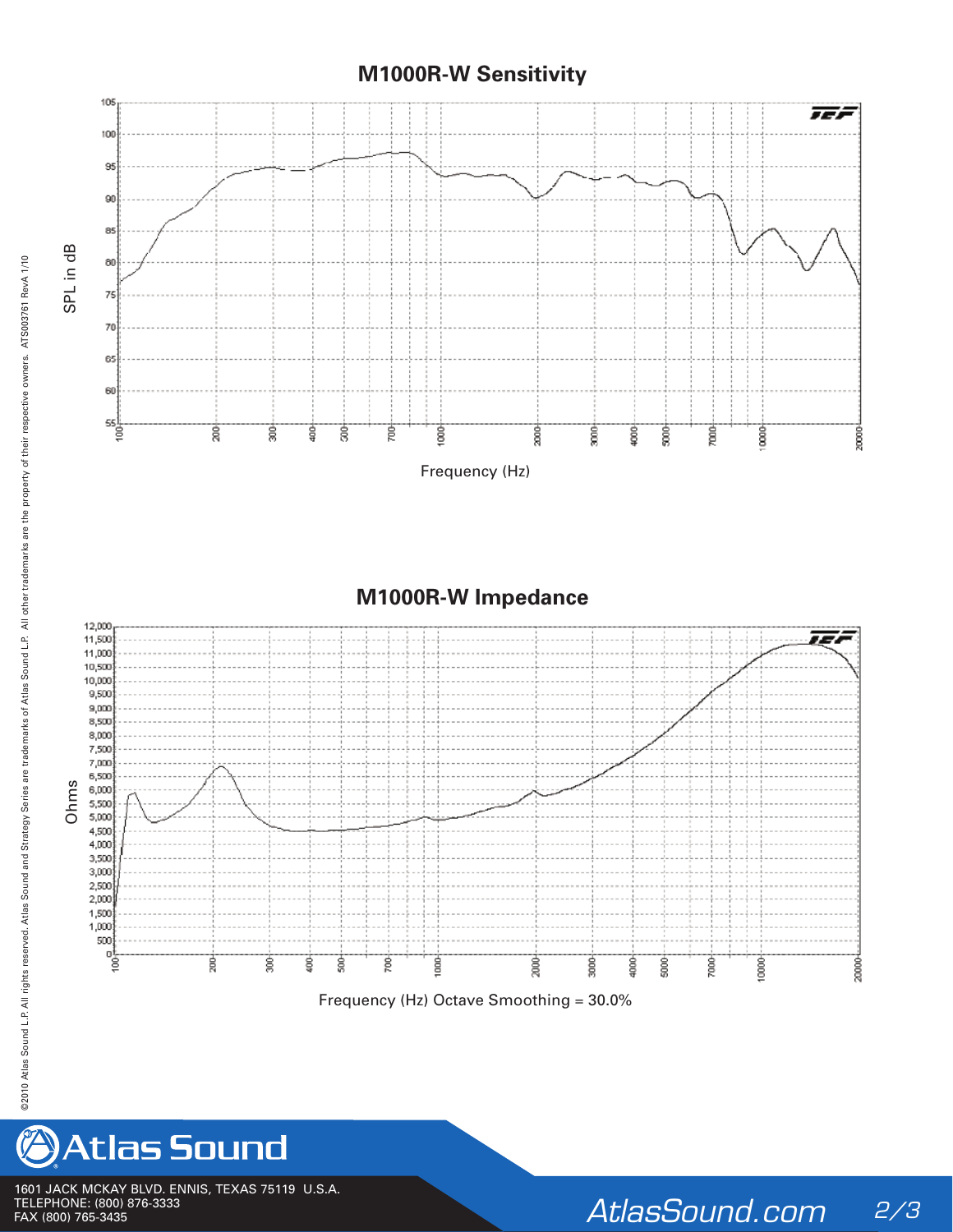## **M1000R-W Sensitivity**





1601 JACK MCKAY BLVD. ENNIS, TEXAS 75119 U.S.A. TELEPHONE: (800) 876-3333